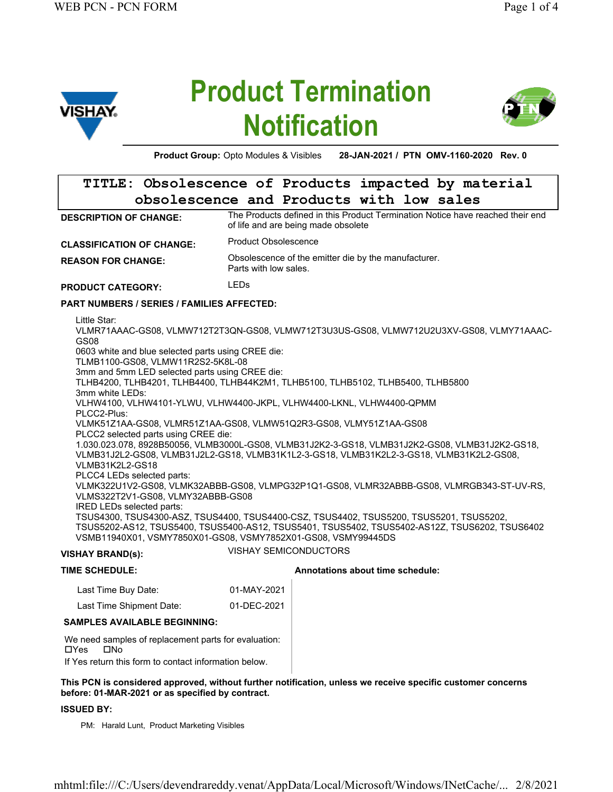

# Product Termination **Notification**



Product Group: Opto Modules & Visibles 28-JAN-2021 / PTN OMV-1160-2020 Rev. 0

## TITLE: Obsolescence of Products impacted by material obsolescence and Products with low sales

The Products defined in this Product Termination Notice have reached their end of life and are being made obsolete DESCRIPTION OF CHANGE:

CLASSIFICATION OF CHANGE: Product Obsolescence

Obsolescence of the emitter die by the manufacturer. Parts with low sales. REASON FOR CHANGE:

PRODUCT CATEGORY: LEDS

#### PART NUMBERS / SERIES / FAMILIES AFFECTED:

Little Star: VLMR71AAAC-GS08, VLMW712T2T3QN-GS08, VLMW712T3U3US-GS08, VLMW712U2U3XV-GS08, VLMY71AAAC-GS08 0603 white and blue selected parts using CREE die: TLMB1100-GS08, VLMW11R2S2-5K8L-08 3mm and 5mm LED selected parts using CREE die: TLHB4200, TLHB4201, TLHB4400, TLHB44K2M1, TLHB5100, TLHB5102, TLHB5400, TLHB5800 3mm white LEDs: VLHW4100, VLHW4101-YLWU, VLHW4400-JKPL, VLHW4400-LKNL, VLHW4400-QPMM PLCC2-Plus: VLMK51Z1AA-GS08, VLMR51Z1AA-GS08, VLMW51Q2R3-GS08, VLMY51Z1AA-GS08 PLCC2 selected parts using CREE die: 1.030.023.078, 8928B50056, VLMB3000L-GS08, VLMB31J2K2-3-GS18, VLMB31J2K2-GS08, VLMB31J2K2-GS18, VLMB31J2L2-GS08, VLMB31J2L2-GS18, VLMB31K1L2-3-GS18, VLMB31K2L2-3-GS18, VLMB31K2L2-GS08, VLMB31K2L2-GS18 PLCC4 LEDs selected parts: VLMK322U1V2-GS08, VLMK32ABBB-GS08, VLMPG32P1Q1-GS08, VLMR32ABBB-GS08, VLMRGB343-ST-UV-RS, VLMS322T2V1-GS08, VLMY32ABBB-GS08 IRED LEDs selected parts: TSUS4300, TSUS4300-ASZ, TSUS4400, TSUS4400-CSZ, TSUS4402, TSUS5200, TSUS5201, TSUS5202, TSUS5202-AS12, TSUS5400, TSUS5400-AS12, TSUS5401, TSUS5402, TSUS5402-AS12Z, TSUS6202, TSUS6402 VSMB11940X01, VSMY7850X01-GS08, VSMY7852X01-GS08, VSMY99445DS

### VISHAY BRAND(s): VISHAY SEMICONDUCTORS

# TIME SCHEDULE: Annotations about time schedule: Last Time Buy Date: 01-MAY-2021 Last Time Shipment Date: 01-DEC-2021

SAMPLES AVAILABLE BEGINNING:

We need samples of replacement parts for evaluation: oYes oNo If Yes return this form to contact information below.

#### This PCN is considered approved, without further notification, unless we receive specific customer concerns before: 01-MAR-2021 or as specified by contract.

#### ISSUED BY:

PM: Harald Lunt, Product Marketing Visibles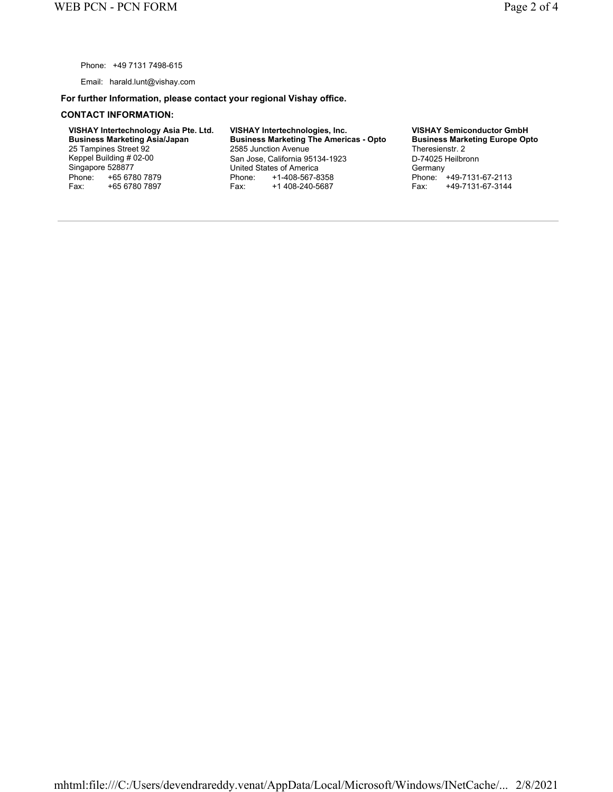Phone: +49 7131 7498-615

Email: harald.lunt@vishay.com

#### For further Information, please contact your regional Vishay office.

#### CONTACT INFORMATION:

VISHAY Intertechnology Asia Pte. Ltd. Business Marketing Asia/Japan 25 Tampines Street 92 Keppel Building # 02-00 Singapore 528877 Phone: +65 6780 7879<br>Fax: +65 6780 7897 +65 6780 7897

VISHAY Intertechnologies, Inc. Business Marketing The Americas - Opto 2585 Junction Avenue San Jose, California 95134-1923 United States of America Phone: +1-408-567-8358<br>Fax: +1 408-240-5687 Fax: +1 408-240-5687

VISHAY Semiconductor GmbH Business Marketing Europe Opto Theresienstr. 2 D-74025 Heilbronn **Germany** Phone: +49-7131-67-2113<br>Fax: +49-7131-67-3144 Fax: +49-7131-67-3144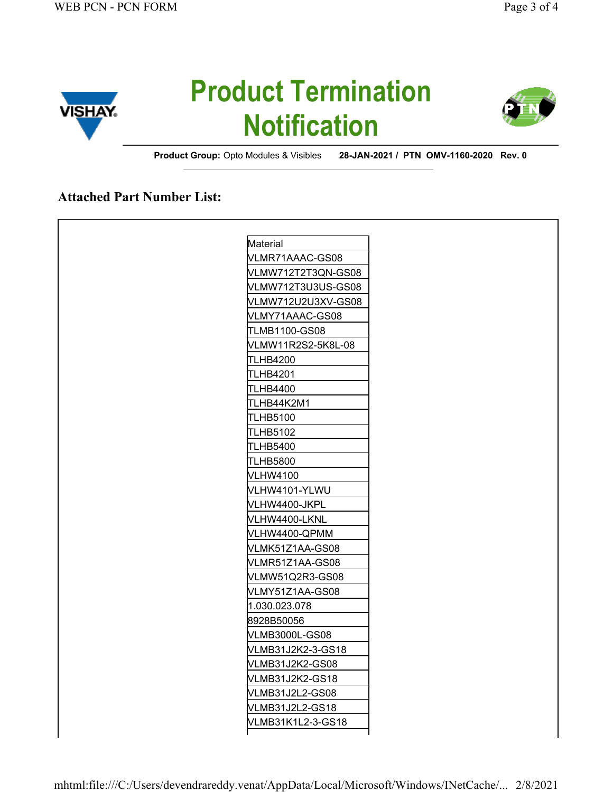

# Product Termination **Notification**



Product Group: Opto Modules & Visibles 28-JAN-2021 / PTN OMV-1160-2020 Rev. 0

### Attached Part Number List:

| Material           |
|--------------------|
| VLMR71AAAC-GS08    |
| VLMW712T2T3QN-GS08 |
| VLMW712T3U3US-GS08 |
| VLMW712U2U3XV-GS08 |
| VLMY71AAAC-GS08    |
| TLMB1100-GS08      |
| VLMW11R2S2-5K8L-08 |
| TLHB4200           |
| TLHB4201           |
| TLHB4400           |
| TLHB44K2M1         |
| TLHB5100           |
| TLHB5102           |
| TLHB5400           |
| TLHB5800           |
| VLHW4100           |
| VLHW4101-YLWU      |
| √LHW4400-JKPL      |
| VLHW4400-LKNL      |
| VLHW4400-QPMM      |
| VLMK51Z1AA-GS08    |
| VLMR51Z1AA-GS08    |
| VLMW51Q2R3-GS08    |
| VLMY51Z1AA-GS08    |
| 1.030.023.078      |
| 8928B50056         |
| VLMB3000L-GS08     |
| VLMB31J2K2-3-GS18  |
| VLMB31J2K2-GS08    |
| VLMB31J2K2-GS18    |
| VLMB31J2L2-GS08    |
| VLMB31J2L2-GS18    |
| VLMB31K1L2-3-GS18  |
|                    |